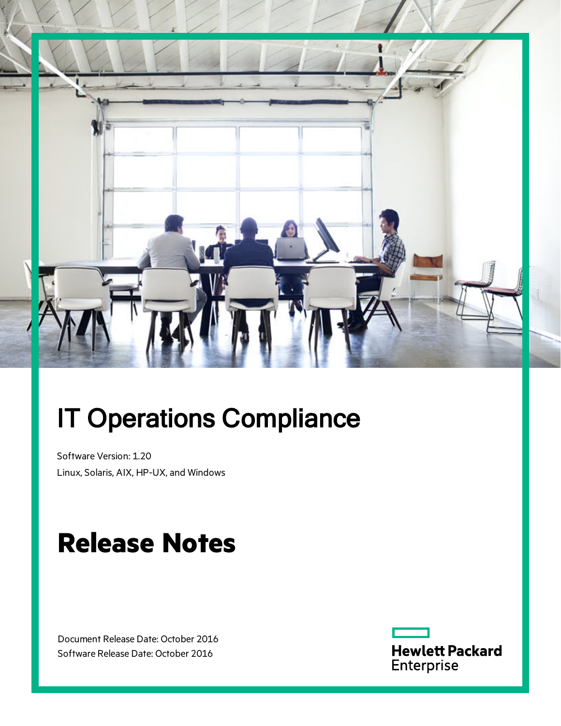

# IT Operations Compliance

Software Version: 1.20 Linux, Solaris, AIX, HP-UX, and Windows

# **Release Notes**

Document Release Date: October 2016 Software Release Date: October 2016

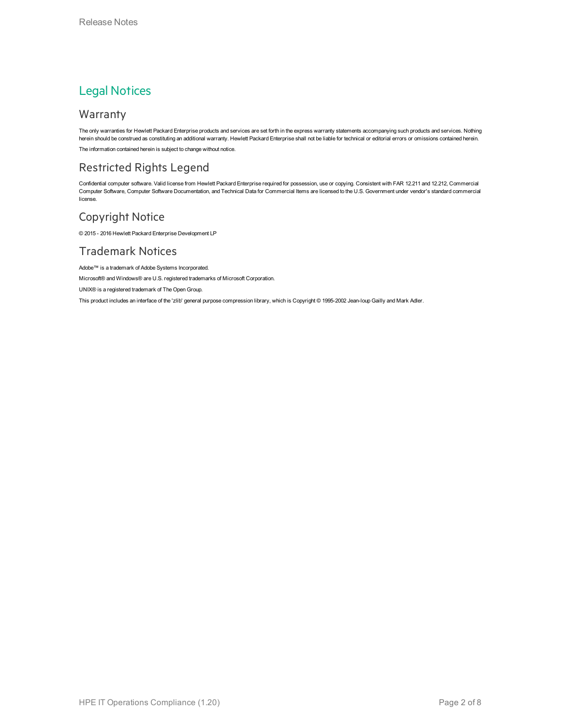### Legal Notices

#### Warranty

The only warranties for Hewlett Packard Enterprise products and services are set forth in the express warranty statements accompanying such products and services. Nothing herein should be construed as constituting an additional warranty. Hewlett Packard Enterprise shall not be liable for technical or editorial errors or omissions contained herein. The information contained herein is subject to change without notice.

### Restricted Rights Legend

Confidential computer software. Valid license from Hewlett Packard Enterprise required for possession, use or copying. Consistent with FAR 12.211 and 12.212, Commercial Computer Software, Computer Software Documentation, and Technical Data for Commercial Items are licensed to the U.S. Government under vendor's standard commercial license.

### Copyright Notice

© 2015 - 2016 Hewlett Packard Enterprise Development LP

#### Trademark Notices

Adobe™ is a trademark of Adobe Systems Incorporated.

Microsoft® and Windows® are U.S. registered trademarks of Microsoft Corporation.

UNIX® is a registered trademark of The Open Group.

This product includes an interface of the 'zlib' general purpose compression library, which is Copyright © 1995-2002 Jean-loup Gailly and Mark Adler.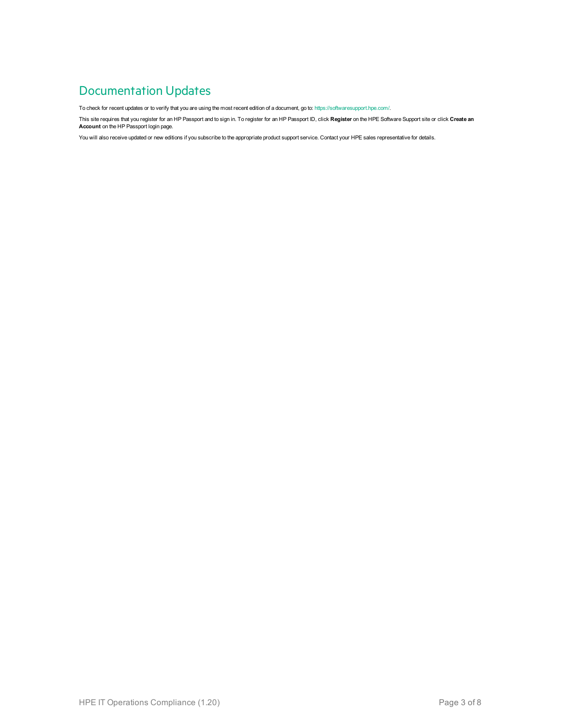### Documentation Updates

To check for recent updates or to verify that you are using the most recent edition of a document, go to: <https://softwaresupport.hpe.com/>.

This site requires that you register for an HP Passport and to sign in. To register for an HP Passport ID, click **Register** on the HPE Software Support site or click **Create an Account** on the HP Passport login page.

You will also receive updated or new editions if you subscribe to the appropriate product support service. Contact your HPE sales representative for details.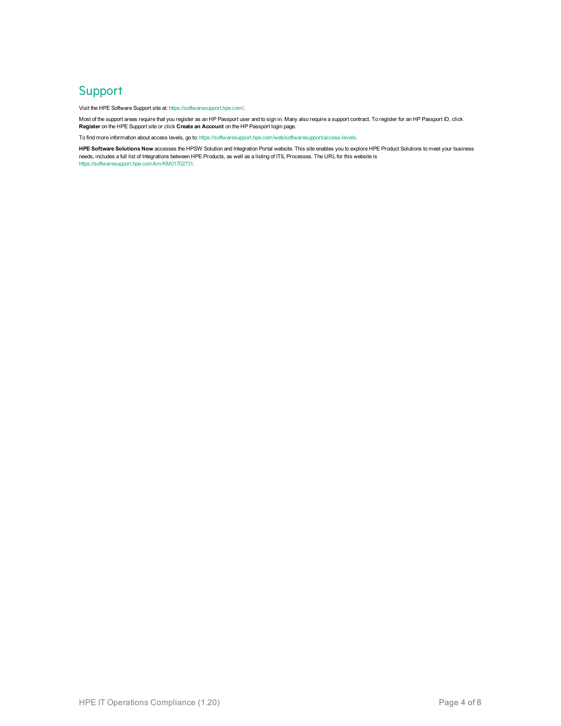### **Support**

Visit the HPE Software Support site at: <https://softwaresupport.hpe.com/>.

Most of the support areas require that you register as an HP Passport user and to sign in. Many also require a support contract. To register for an HP Passport ID, click **Register** on the HPE Support site or click **Create an Account** on the HP Passport login page.

To find more information about access levels, go to: <https://softwaresupport.hpe.com/web/softwaresupport/access-levels>.

**HPE Software Solutions Now** accesses the HPSW Solution and Integration Portal website. This site enables you to explore HPE Product Solutions to meet your business needs, includes a full list of Integrations between HPE Products, as well as a listing of ITIL Processes. The URL for this website is [https://softwaresupport.hpe.com/km/KM01702731.](https://softwaresupport.hpe.com/km/KM01702731)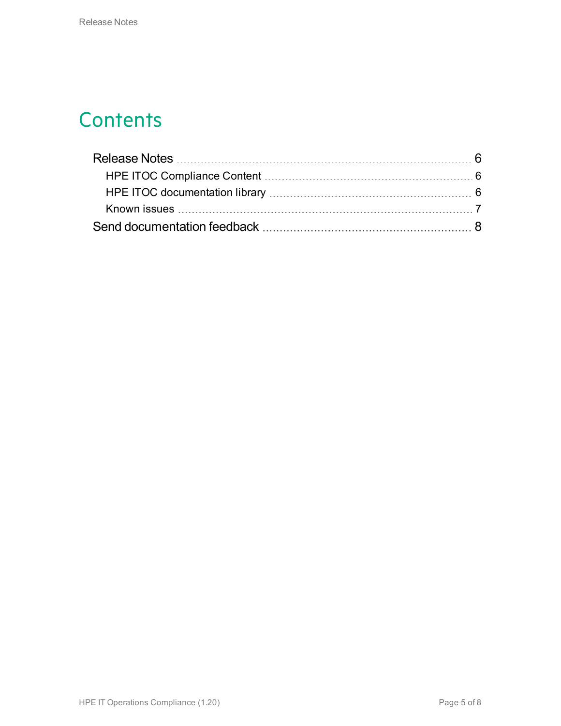# **Contents**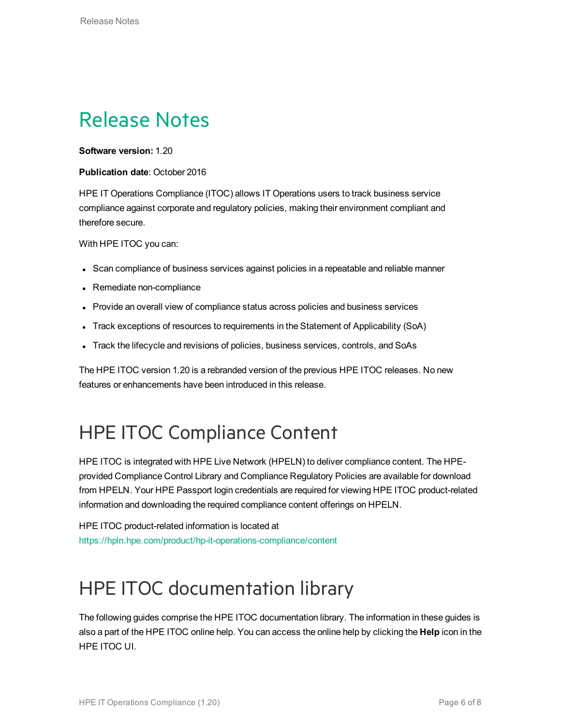# <span id="page-5-0"></span>Release Notes

**Software version:** 1.20

#### **Publication date**: October 2016

HPE IT Operations Compliance (ITOC) allows IT Operations users to track business service compliance against corporate and regulatory policies, making their environment compliant and therefore secure.

With HPE ITOC you can:

- Scan compliance of business services against policies in a repeatable and reliable manner
- Remediate non-compliance
- Provide an overall view of compliance status across policies and business services
- Track exceptions of resources to requirements in the Statement of Applicability (SoA)
- Track the lifecycle and revisions of policies, business services, controls, and SoAs

The HPE ITOC version 1.20 is a rebranded version of the previous HPE ITOC releases. No new features or enhancements have been introduced in this release.

## <span id="page-5-1"></span>HPE ITOC Compliance Content

HPE ITOC is integrated with HPE Live Network (HPELN) to deliver compliance content. The HPEprovided Compliance Control Library and Compliance Regulatory Policies are available for download from HPELN. Your HPE Passport login credentials are required for viewing HPE ITOC product-related information and downloading the required compliance content offerings on HPELN.

HPE ITOC product-related information is located at <https://hpln.hpe.com/product/hp-it-operations-compliance/content>

# <span id="page-5-2"></span>HPE ITOC documentation library

The following guides comprise the HPE ITOC documentation library. The information in these guides is also a part of the HPE ITOC online help. You can access the online help by clicking the **Help** icon in the HPE ITOC UI.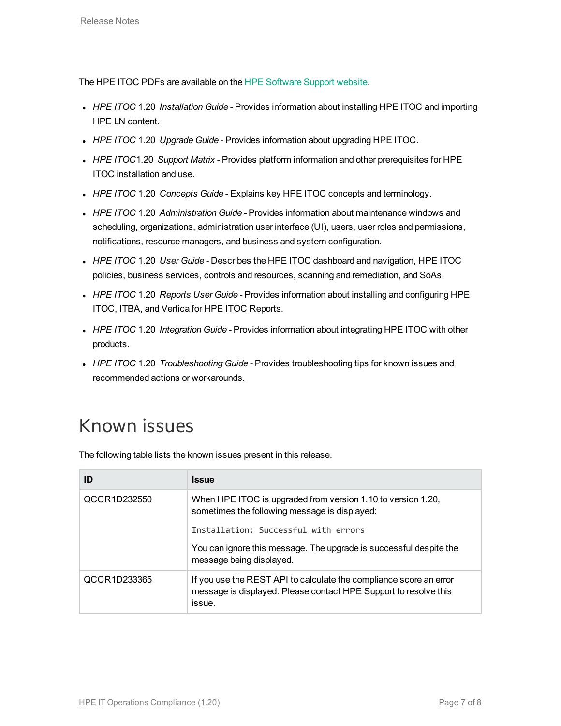The HPE ITOC PDFs are available on the [HPE Software Support website](https://softwaresupport.hpe.com/group/softwaresupport/search-result?keyword=Codar&lang=en&cc=us&hpappid=OSP).

- <sup>l</sup> *HPE ITOC* 1.20 *Installation Guide* Provides information about installing HPE ITOC and importing HPE LN content.
- HPE ITOC 1.20 *Upgrade Guide* Provides information about upgrading HPE ITOC.
- HPE ITOC1.20 *Support Matrix* Provides platform information and other prerequisites for HPE ITOC installation and use.
- <sup>l</sup> *HPE ITOC* 1.20 *Concepts Guide* Explains key HPE ITOC concepts and terminology.
- <sup>l</sup> *HPE ITOC* 1.20 *Administration Guide* Provides information about maintenance windows and scheduling, organizations, administration user interface (UI), users, user roles and permissions, notifications, resource managers, and business and system configuration.
- <sup>l</sup> *HPE ITOC* 1.20 *User Guide* Describes the HPE ITOC dashboard and navigation, HPE ITOC policies, business services, controls and resources, scanning and remediation, and SoAs.
- <sup>l</sup> *HPE ITOC* 1.20 *Reports User Guide* Provides information about installing and configuring HPE ITOC, ITBA, and Vertica for HPE ITOC Reports.
- <sup>l</sup> *HPE ITOC* 1.20 *Integration Guide* Provides information about integrating HPE ITOC with other products.
- HPE ITOC 1.20 *Troubleshooting Guide* Provides troubleshooting tips for known issues and recommended actions or workarounds.

### <span id="page-6-0"></span>Known issues

The following table lists the known issues present in this release.

| ID           | <b>Issue</b>                                                                                                                                     |
|--------------|--------------------------------------------------------------------------------------------------------------------------------------------------|
| QCCR1D232550 | When HPE ITOC is upgraded from version 1.10 to version 1.20,<br>sometimes the following message is displayed:                                    |
|              | Installation: Successful with errors                                                                                                             |
|              | You can ignore this message. The upgrade is successful despite the<br>message being displayed.                                                   |
| QCCR1D233365 | If you use the REST API to calculate the compliance score an error<br>message is displayed. Please contact HPE Support to resolve this<br>issue. |